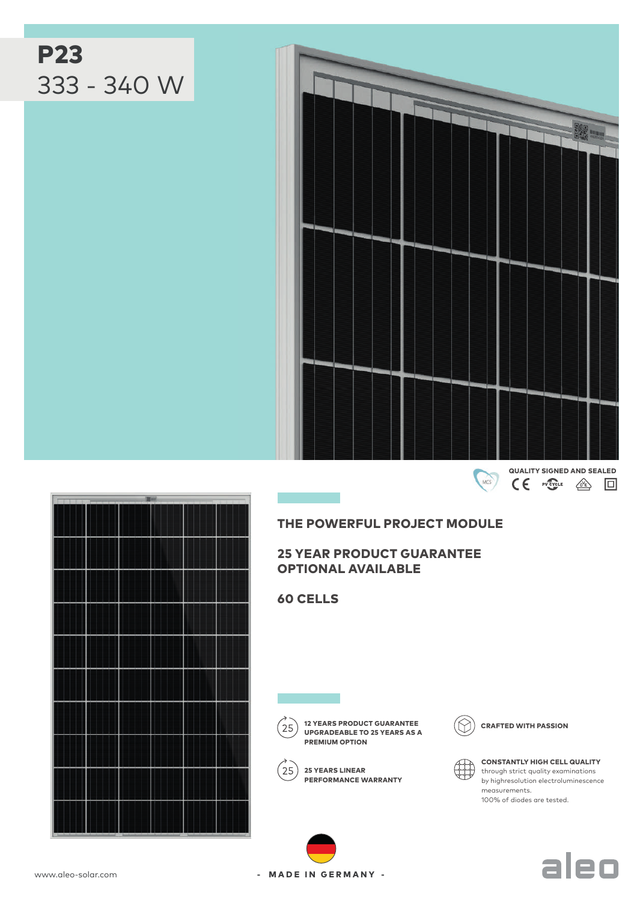

THE POWERFUL PROJECT MODULE

25 YEAR PRODUCT GUARANTEE OPTIONAL AVAILABLE

60 CELLS

 $\label{eq:2.1} \frac{1}{\sqrt{2}}\int_{\mathbb{R}^3}\frac{1}{\sqrt{2}}\left(\frac{1}{\sqrt{2}}\right)^2\left(\frac{1}{\sqrt{2}}\right)^2\left(\frac{1}{\sqrt{2}}\right)^2\left(\frac{1}{\sqrt{2}}\right)^2\left(\frac{1}{\sqrt{2}}\right)^2\left(\frac{1}{\sqrt{2}}\right)^2.$ 

 $25)$ 

UPGRADEABLE TO 25 YEARS AS A PREMIUM OPTION

PERFORMANCE WARRANTY

 $(25)$  25 YEARS LINEAR

12 YEARS PRODUCT GUARANTEE  $(\bigcirc)$  crafted with passion

CONSTANTLY HIGH CELL QUALITY through strict quality examinations by highresolution electroluminescence measurements. 100% of diodes are tested.





- MADE IN GERMANY -